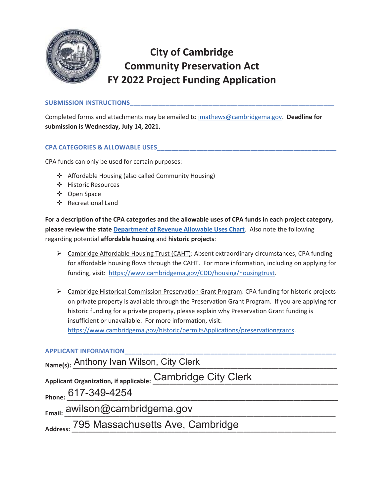

# **City of Cambridge Community Preservation Act FY 2022 Project Funding Application**

### **SUBMISSION INSTRUCTIONS\_\_\_\_\_\_\_\_\_\_\_\_\_\_\_\_\_\_\_\_\_\_\_\_\_\_\_\_\_\_\_\_\_\_\_\_\_\_\_\_\_\_\_\_\_\_\_\_\_\_\_\_\_\_\_\_\_**

Completed forms and attachments may be emailed to jmathews@cambridgema.gov. **Deadline for submission is Wednesday, July 14, 2021.**

### **CPA CATEGORIES & ALLOWABLE USES\_\_\_\_\_\_\_\_\_\_\_\_\_\_\_\_\_\_\_\_\_\_\_\_\_\_\_\_\_\_\_\_\_\_\_\_\_\_\_\_\_\_\_\_\_\_\_\_\_\_**

CPA funds can only be used for certain purposes:

- Affordable Housing (also called Community Housing)
- Historic Resources
- Open Space
- Recreational Land

**For a description of the CPA categories and the allowable uses of CPA funds in each project category, please review the state Department of Revenue Allowable Uses Chart**. Also note the following regarding potential **affordable housing** and **historic projects**:

- $\triangleright$  Cambridge Affordable Housing Trust (CAHT): Absent extraordinary circumstances, CPA funding for affordable housing flows through the CAHT. For more information, including on applying for funding, visit: https://www.cambridgema.gov/CDD/housing/housingtrust.
- ¾ Cambridge Historical Commission Preservation Grant Program: CPA funding for historic projects on private property is available through the Preservation Grant Program. If you are applying for historic funding for a private property, please explain why Preservation Grant funding is insufficient or unavailable. For more information, visit: https://www.cambridgema.gov/historic/permitsApplications/preservationgrants.

# **APPLICANT INFORMATION\_\_\_\_\_\_\_\_\_\_\_\_\_\_\_\_\_\_\_\_\_\_\_\_\_\_\_\_\_\_\_\_\_\_\_\_\_\_\_\_\_\_\_\_\_\_\_\_\_\_\_\_\_\_\_\_\_\_\_**

Name(s): <u>Anthony Ivan Wilson, City Clerk and a setting of the setting</u>

Applicant Organization, if applicable: <u>Cambridge City Clerk</u>

**Phone: \_\_\_\_\_\_\_\_\_\_\_\_\_\_\_\_\_\_\_\_\_\_\_\_\_\_\_\_\_\_\_\_\_\_\_\_\_\_\_\_\_\_\_\_\_\_\_\_\_\_\_\_\_\_\_\_\_\_\_\_\_\_\_\_\_\_\_\_\_\_\_\_\_\_\_\_\_\_\_**  617-349-4254

**Email: \_\_\_\_\_\_\_\_\_\_\_\_\_\_\_\_\_\_\_\_\_\_\_\_\_\_\_\_\_\_\_\_\_\_\_\_\_\_\_\_\_\_\_\_\_\_\_\_\_\_\_\_\_\_\_\_\_\_\_\_\_\_\_\_\_\_\_\_\_\_\_\_\_\_\_\_\_\_\_**  awilson@cambridgema.gov

Address: 795 Massachusetts Ave, Cambridge **Massachusetts Ave**, Cambridge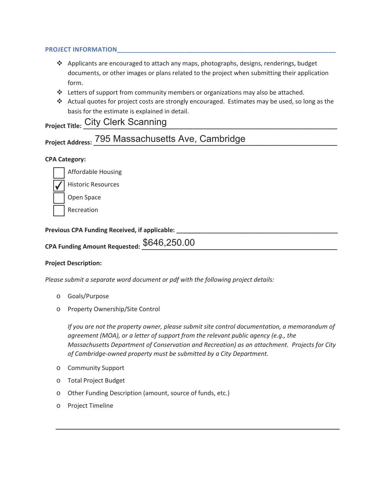### **PROJECT INFORMATION\_\_\_\_\_\_\_\_\_\_\_\_\_\_\_\_\_\_\_\_\_\_\_\_\_\_\_\_\_\_\_\_\_\_\_\_\_\_\_\_\_\_\_\_\_\_\_\_\_\_\_\_\_\_\_\_\_\_\_\_\_**

- $\triangleleft$  Applicants are encouraged to attach any maps, photographs, designs, renderings, budget documents, or other images or plans related to the project when submitting their application form.
- \* Letters of support from community members or organizations may also be attached.
- Actual quotes for project costs are strongly encouraged. Estimates may be used, so long as the basis for the estimate is explained in detail.

| <b>Project Title: City Clerk Scanning</b> |
|-------------------------------------------|
|                                           |

| Project Address: 795 Massachusetts Ave, Cambridge |
|---------------------------------------------------|
|---------------------------------------------------|

# **CPA Category:**

Affordable Housing

**Historic Resources** ✔

Open Space

Recreation

### Previous CPA Funding Received, if applicable: **with a set of the contract of the contract of the contract of the contract of the contract of the contract of the contract of the contract of the contract of the contract of t**

| CPA Funding Amount Requested: $\$646,\!250.00$ |  |
|------------------------------------------------|--|
|                                                |  |

#### **Project Description:**

*Please submit a separate word document or pdf with the following project details:* 

- o Goals/Purpose
- o Property Ownership/Site Control

*If you are not the property owner, please submit site control documentation, a memorandum of agreement (MOA), or a letter of support from the relevant public agency (e.g., the Massachusetts Department of Conservation and Recreation) as an attachment. Projects for City of Cambridge-owned property must be submitted by a City Department.* 

- o Community Support
- o Total Project Budget
- o Other Funding Description (amount, source of funds, etc.)
- o Project Timeline